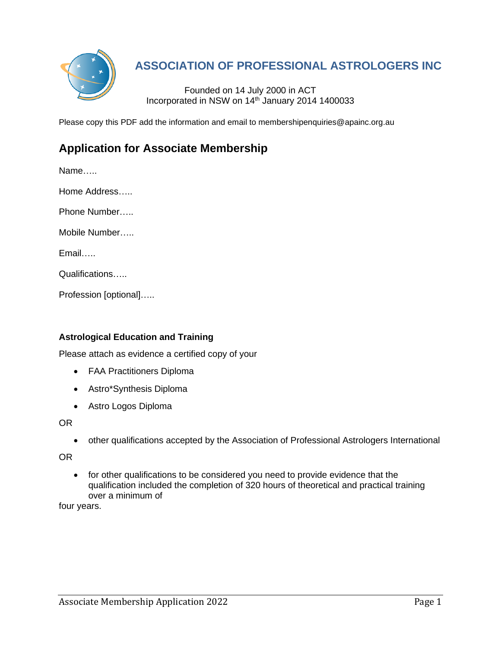

# **ASSOCIATION OF PROFESSIONAL ASTROLOGERS INC**

Founded on 14 July 2000 in ACT Incorporated in NSW on 14th January 2014 1400033

Please copy this PDF add the information and email to membershipenquiries@apainc.org.au

# **Application for Associate Membership**

Name…..

Home Address…..

Phone Number…..

Mobile Number…..

Email…..

Qualifications…..

Profession [optional]…..

# **Astrological Education and Training**

Please attach as evidence a certified copy of your

- FAA Practitioners Diploma
- Astro\*Synthesis Diploma
- Astro Logos Diploma

OR

• other qualifications accepted by the Association of Professional Astrologers International

OR

• for other qualifications to be considered you need to provide evidence that the qualification included the completion of 320 hours of theoretical and practical training over a minimum of

four years.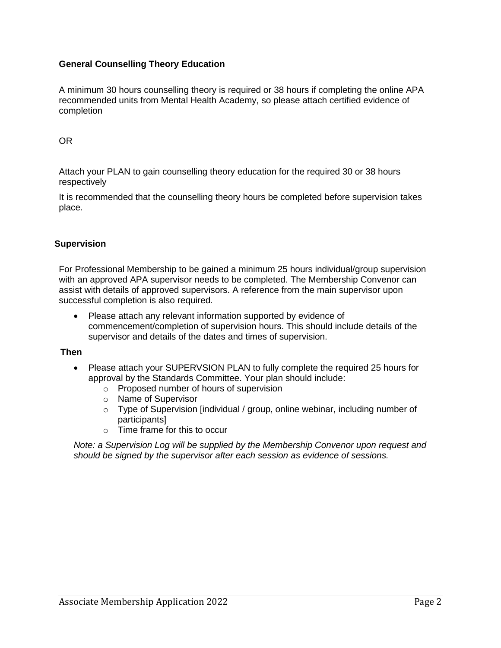# **General Counselling Theory Education**

A minimum 30 hours counselling theory is required or 38 hours if completing the online APA recommended units from Mental Health Academy, so please attach certified evidence of completion

### OR

Attach your PLAN to gain counselling theory education for the required 30 or 38 hours respectively

It is recommended that the counselling theory hours be completed before supervision takes place.

#### **Supervision**

For Professional Membership to be gained a minimum 25 hours individual/group supervision with an approved APA supervisor needs to be completed. The Membership Convenor can assist with details of approved supervisors. A reference from the main supervisor upon successful completion is also required.

• Please attach any relevant information supported by evidence of commencement/completion of supervision hours. This should include details of the supervisor and details of the dates and times of supervision.

#### **Then**

- Please attach your SUPERVSION PLAN to fully complete the required 25 hours for approval by the Standards Committee. Your plan should include:
	- o Proposed number of hours of supervision
	- o Name of Supervisor
	- o Type of Supervision [individual / group, online webinar, including number of participants]
	- $\circ$  Time frame for this to occur

*Note: a Supervision Log will be supplied by the Membership Convenor upon request and should be signed by the supervisor after each session as evidence of sessions.*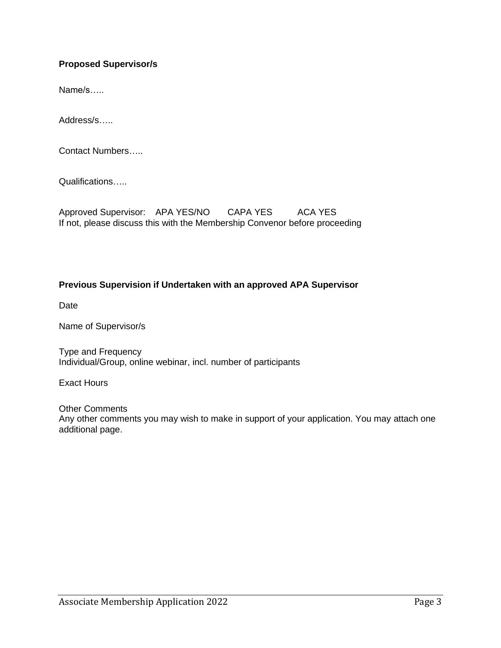# **Proposed Supervisor/s**

Name/s…..

Address/s…..

Contact Numbers…..

Qualifications…..

Approved Supervisor: APA YES/NO CAPA YES ACA YES If not, please discuss this with the Membership Convenor before proceeding

### **Previous Supervision if Undertaken with an approved APA Supervisor**

Date

Name of Supervisor/s

Type and Frequency Individual/Group, online webinar, incl. number of participants

Exact Hours

Other Comments Any other comments you may wish to make in support of your application. You may attach one additional page.